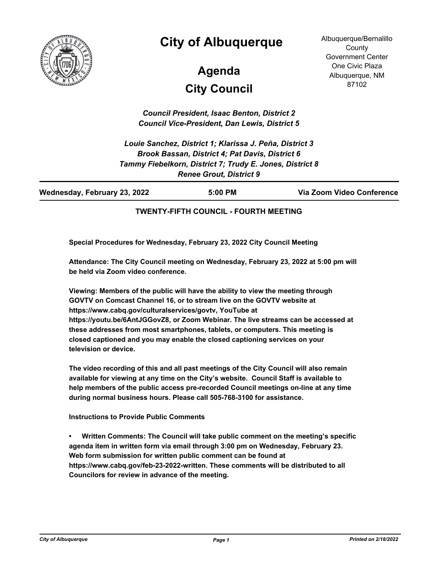

# **City of Albuquerque**

# **City Council Agenda**

Albuquerque/Bernalillo **County** Government Center One Civic Plaza Albuquerque, NM 87102

*Council President, Isaac Benton, District 2 Council Vice-President, Dan Lewis, District 5*

*Louie Sanchez, District 1; Klarissa J. Peña, District 3 Brook Bassan, District 4; Pat Davis, District 6 Tammy Fiebelkorn, District 7; Trudy E. Jones, District 8 Renee Grout, District 9*

**Wednesday, February 23, 2022 5:00 PM Via Zoom Video Conference**

#### **TWENTY-FIFTH COUNCIL - FOURTH MEETING**

**Special Procedures for Wednesday, February 23, 2022 City Council Meeting**

**Attendance: The City Council meeting on Wednesday, February 23, 2022 at 5:00 pm will be held via Zoom video conference.**

**Viewing: Members of the public will have the ability to view the meeting through GOVTV on Comcast Channel 16, or to stream live on the GOVTV website at https://www.cabq.gov/culturalservices/govtv, YouTube at https://youtu.be/6AntJGGovZ8, or Zoom Webinar. The live streams can be accessed at these addresses from most smartphones, tablets, or computers. This meeting is closed captioned and you may enable the closed captioning services on your television or device.**

**The video recording of this and all past meetings of the City Council will also remain available for viewing at any time on the City's website. Council Staff is available to help members of the public access pre-recorded Council meetings on-line at any time during normal business hours. Please call 505-768-3100 for assistance.**

**Instructions to Provide Public Comments**

**• Written Comments: The Council will take public comment on the meeting's specific agenda item in written form via email through 3:00 pm on Wednesday, February 23. Web form submission for written public comment can be found at https://www.cabq.gov/feb-23-2022-written. These comments will be distributed to all Councilors for review in advance of the meeting.**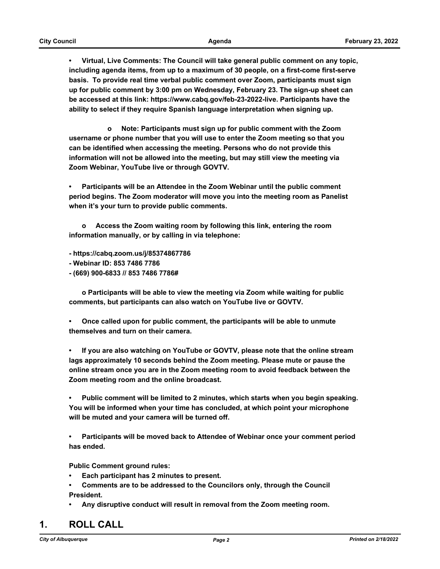**• Virtual, Live Comments: The Council will take general public comment on any topic, including agenda items, from up to a maximum of 30 people, on a first-come first-serve basis. To provide real time verbal public comment over Zoom, participants must sign up for public comment by 3:00 pm on Wednesday, February 23. The sign-up sheet can be accessed at this link: https://www.cabq.gov/feb-23-2022-live. Participants have the ability to select if they require Spanish language interpretation when signing up.**

 **o Note: Participants must sign up for public comment with the Zoom username or phone number that you will use to enter the Zoom meeting so that you can be identified when accessing the meeting. Persons who do not provide this information will not be allowed into the meeting, but may still view the meeting via Zoom Webinar, YouTube live or through GOVTV.**

**• Participants will be an Attendee in the Zoom Webinar until the public comment period begins. The Zoom moderator will move you into the meeting room as Panelist when it's your turn to provide public comments.** 

**o Access the Zoom waiting room by following this link, entering the room information manually, or by calling in via telephone:**

**- https://cabq.zoom.us/j/85374867786**

- **Webinar ID: 853 7486 7786**
- **(669) 900-6833 // 853 7486 7786#**

**o Participants will be able to view the meeting via Zoom while waiting for public comments, but participants can also watch on YouTube live or GOVTV.**

**• Once called upon for public comment, the participants will be able to unmute themselves and turn on their camera.**

**• If you are also watching on YouTube or GOVTV, please note that the online stream lags approximately 10 seconds behind the Zoom meeting. Please mute or pause the online stream once you are in the Zoom meeting room to avoid feedback between the Zoom meeting room and the online broadcast.**

**• Public comment will be limited to 2 minutes, which starts when you begin speaking. You will be informed when your time has concluded, at which point your microphone will be muted and your camera will be turned off.**

**• Participants will be moved back to Attendee of Webinar once your comment period has ended.**

**Public Comment ground rules:**

- **• Each participant has 2 minutes to present.**
- **• Comments are to be addressed to the Councilors only, through the Council President.**
- **• Any disruptive conduct will result in removal from the Zoom meeting room.**

# **1. ROLL CALL**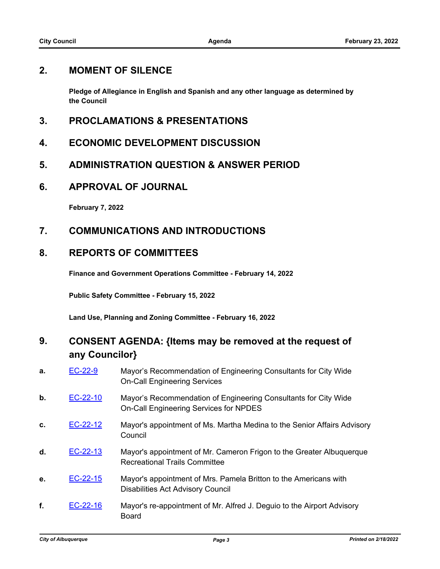#### **2. MOMENT OF SILENCE**

**Pledge of Allegiance in English and Spanish and any other language as determined by the Council**

- **3. PROCLAMATIONS & PRESENTATIONS**
- **4. ECONOMIC DEVELOPMENT DISCUSSION**
- **5. ADMINISTRATION QUESTION & ANSWER PERIOD**
- **6. APPROVAL OF JOURNAL**

**February 7, 2022**

**7. COMMUNICATIONS AND INTRODUCTIONS**

#### **8. REPORTS OF COMMITTEES**

**Finance and Government Operations Committee - February 14, 2022**

**Public Safety Committee - February 15, 2022**

**Land Use, Planning and Zoning Committee - February 16, 2022**

# **9. CONSENT AGENDA: {Items may be removed at the request of any Councilor}**

- **a.** [EC-22-9](http://cabq.legistar.com/gateway.aspx?m=l&id=/matter.aspx?key=12786) Mayor's Recommendation of Engineering Consultants for City Wide On-Call Engineering Services
- **b. [EC-22-10](http://cabq.legistar.com/gateway.aspx?m=l&id=/matter.aspx?key=12787)** Mayor's Recommendation of Engineering Consultants for City Wide On-Call Engineering Services for NPDES
- **c.** [EC-22-12](http://cabq.legistar.com/gateway.aspx?m=l&id=/matter.aspx?key=12789) Mayor's appointment of Ms. Martha Medina to the Senior Affairs Advisory **Council**
- **d.** [EC-22-13](http://cabq.legistar.com/gateway.aspx?m=l&id=/matter.aspx?key=12790) Mayor's appointment of Mr. Cameron Frigon to the Greater Albuquerque Recreational Trails Committee
- **e.** [EC-22-15](http://cabq.legistar.com/gateway.aspx?m=l&id=/matter.aspx?key=12792) Mayor's appointment of Mrs. Pamela Britton to the Americans with Disabilities Act Advisory Council
- **f.** [EC-22-16](http://cabq.legistar.com/gateway.aspx?m=l&id=/matter.aspx?key=12793) Mayor's re-appointment of Mr. Alfred J. Deguio to the Airport Advisory Board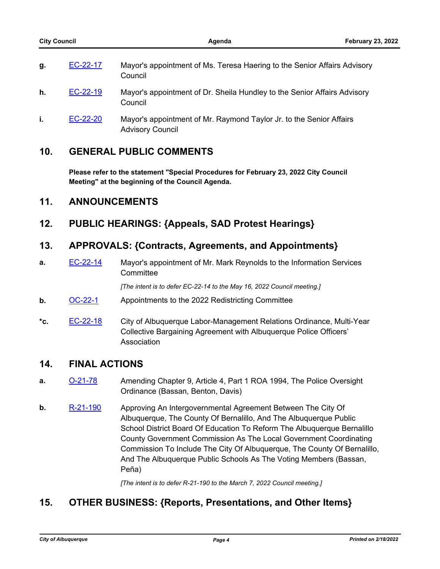| g. | EC-22-17 | Mayor's appointment of Ms. Teresa Haering to the Senior Affairs Advisory<br>Council |
|----|----------|-------------------------------------------------------------------------------------|
| h. | EC-22-19 | Mayor's appointment of Dr. Sheila Hundley to the Senior Affairs Advisory<br>Council |
|    | EC 22.20 | Mayarla appointment of Mr. Paymond Taylor, It to the Sepier Affaire                 |

**i.** [EC-22-20](http://cabq.legistar.com/gateway.aspx?m=l&id=/matter.aspx?key=12799) Mayor's appointment of Mr. Raymond Taylor Jr. to the Senior Affairs Advisory Council

## **10. GENERAL PUBLIC COMMENTS**

**Please refer to the statement "Special Procedures for February 23, 2022 City Council Meeting" at the beginning of the Council Agenda.**

#### **11. ANNOUNCEMENTS**

## **12. PUBLIC HEARINGS: {Appeals, SAD Protest Hearings}**

## **13. APPROVALS: {Contracts, Agreements, and Appointments}**

**a.** [EC-22-14](http://cabq.legistar.com/gateway.aspx?m=l&id=/matter.aspx?key=12791) Mayor's appointment of Mr. Mark Reynolds to the Information Services **Committee** 

*[The intent is to defer EC-22-14 to the May 16, 2022 Council meeting.]*

- **b.** [OC-22-1](http://cabq.legistar.com/gateway.aspx?m=l&id=/matter.aspx?key=12801) Appointments to the 2022 Redistricting Committee
- **\*c.** [EC-22-18](http://cabq.legistar.com/gateway.aspx?m=l&id=/matter.aspx?key=12795) City of Albuquerque Labor-Management Relations Ordinance, Multi-Year Collective Bargaining Agreement with Albuquerque Police Officers' Association

#### **14. FINAL ACTIONS**

- **a. [O-21-78](http://cabq.legistar.com/gateway.aspx?m=l&id=/matter.aspx?key=12679)** Amending Chapter 9, Article 4, Part 1 ROA 1994, The Police Oversight Ordinance (Bassan, Benton, Davis)
- **b.** [R-21-190](http://cabq.legistar.com/gateway.aspx?m=l&id=/matter.aspx?key=12608) Approving An Intergovernmental Agreement Between The City Of Albuquerque, The County Of Bernalillo, And The Albuquerque Public School District Board Of Education To Reform The Albuquerque Bernalillo County Government Commission As The Local Government Coordinating Commission To Include The City Of Albuquerque, The County Of Bernalillo, And The Albuquerque Public Schools As The Voting Members (Bassan, Peña)

*[The intent is to defer R-21-190 to the March 7, 2022 Council meeting.]*

# **15. OTHER BUSINESS: {Reports, Presentations, and Other Items}**